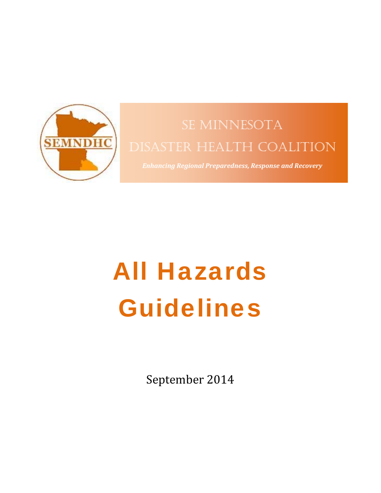

# SE MINNESOTA DISASTER HEALTH COALITION

*Enhancing Regional Preparedness, Response and Recovery*

# All Hazards Guidelines

September 2014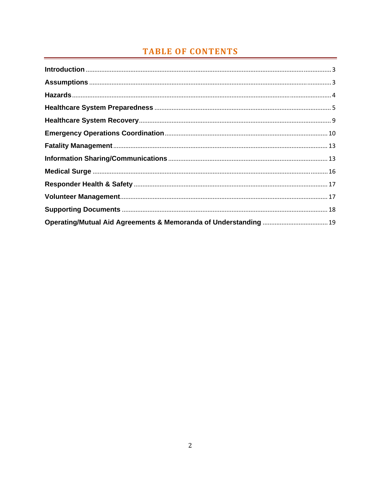# **TABLE OF CONTENTS**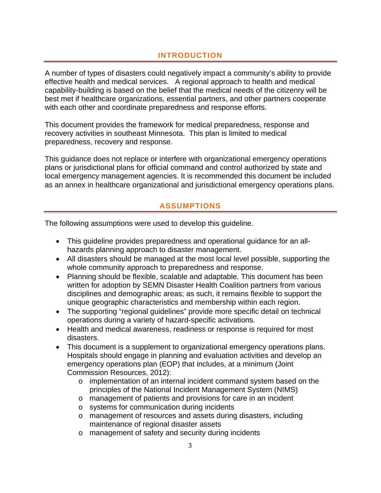# **INTRODUCTION**

A number of types of disasters could negatively impact a community's ability to provide effective health and medical services. A regional approach to health and medical capability-building is based on the belief that the medical needs of the citizenry will be best met if healthcare organizations, essential partners, and other partners cooperate with each other and coordinate preparedness and response efforts.

This document provides the framework for medical preparedness, response and recovery activities in southeast Minnesota. This plan is limited to medical preparedness, recovery and response.

This guidance does not replace or interfere with organizational emergency operations plans or jurisdictional plans for official command and control authorized by state and local emergency management agencies. It is recommended this document be included as an annex in healthcare organizational and jurisdictional emergency operations plans.

# **ASSUMPTIONS**

The following assumptions were used to develop this guideline.

- This guideline provides preparedness and operational guidance for an allhazards planning approach to disaster management.
- All disasters should be managed at the most local level possible, supporting the whole community approach to preparedness and response.
- Planning should be flexible, scalable and adaptable. This document has been written for adoption by SEMN Disaster Health Coalition partners from various disciplines and demographic areas; as such, it remains flexible to support the unique geographic characteristics and membership within each region.
- The supporting "regional guidelines" provide more specific detail on technical operations during a variety of hazard-specific activations.
- Health and medical awareness, readiness or response is required for most disasters.
- This document is a supplement to organizational emergency operations plans. Hospitals should engage in planning and evaluation activities and develop an emergency operations plan (EOP) that includes, at a minimum (Joint Commission Resources, 2012):
	- o implementation of an internal incident command system based on the principles of the National Incident Management System (NIMS)
	- o management of patients and provisions for care in an incident
	- o systems for communication during incidents
	- o management of resources and assets during disasters, including maintenance of regional disaster assets
	- o management of safety and security during incidents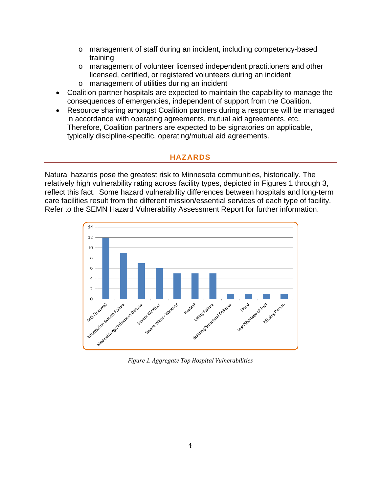- o management of staff during an incident, including competency-based training
- o management of volunteer licensed independent practitioners and other licensed, certified, or registered volunteers during an incident
- o management of utilities during an incident
- Coalition partner hospitals are expected to maintain the capability to manage the consequences of emergencies, independent of support from the Coalition.
- Resource sharing amongst Coalition partners during a response will be managed in accordance with operating agreements, mutual aid agreements, etc. Therefore, Coalition partners are expected to be signatories on applicable, typically discipline-specific, operating/mutual aid agreements.

# **HAZARDS**

Natural hazards pose the greatest risk to Minnesota communities, historically. The relatively high vulnerability rating across facility types, depicted in Figures 1 through 3, reflect this fact. Some hazard vulnerability differences between hospitals and long-term care facilities result from the different mission/essential services of each type of facility. Refer to the SEMN Hazard Vulnerability Assessment Report for further information.



*Figure 1. Aggregate Top Hospital Vulnerabilities*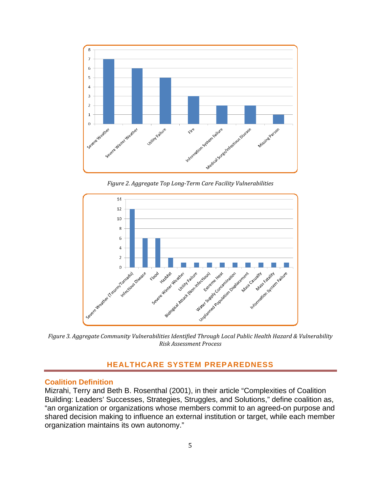

*Figure 2. Aggregate Top Long‐Term Care Facility Vulnerabilities*



*Figure 3. Aggregate Community Vulnerabilities Identified Through Local Public Health Hazard & Vulnerability Risk Assessment Process*

# **HEALTHCARE SYSTEM PREPAREDNESS**

#### **Coalition Definition**

Mizrahi, Terry and Beth B. Rosenthal (2001), in their article "Complexities of Coalition Building: Leaders' Successes, Strategies, Struggles, and Solutions," define coalition as, "an organization or organizations whose members commit to an agreed-on purpose and shared decision making to influence an external institution or target, while each member organization maintains its own autonomy."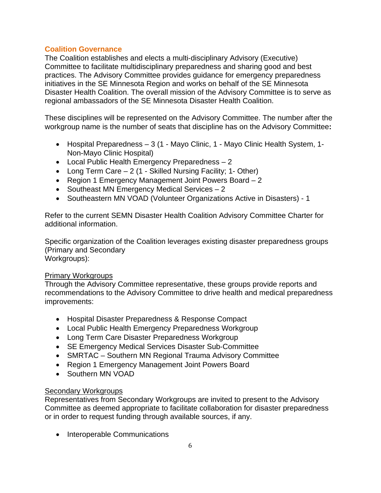### **Coalition Governance**

The Coalition establishes and elects a multi‐disciplinary Advisory (Executive) Committee to facilitate multidisciplinary preparedness and sharing good and best practices. The Advisory Committee provides guidance for emergency preparedness initiatives in the SE Minnesota Region and works on behalf of the SE Minnesota Disaster Health Coalition. The overall mission of the Advisory Committee is to serve as regional ambassadors of the SE Minnesota Disaster Health Coalition.

These disciplines will be represented on the Advisory Committee. The number after the workgroup name is the number of seats that discipline has on the Advisory Committee**:**

- Hospital Preparedness 3 (1 Mayo Clinic, 1 Mayo Clinic Health System, 1-Non-Mayo Clinic Hospital)
- Local Public Health Emergency Preparedness 2
- Long Term Care 2 (1 Skilled Nursing Facility; 1- Other)
- Region 1 Emergency Management Joint Powers Board 2
- Southeast MN Emergency Medical Services  $-2$
- Southeastern MN VOAD (Volunteer Organizations Active in Disasters) 1

Refer to the current SEMN Disaster Health Coalition Advisory Committee Charter for additional information.

Specific organization of the Coalition leverages existing disaster preparedness groups (Primary and Secondary Workgroups):

#### Primary Workgroups

Through the Advisory Committee representative, these groups provide reports and recommendations to the Advisory Committee to drive health and medical preparedness improvements:

- Hospital Disaster Preparedness & Response Compact
- Local Public Health Emergency Preparedness Workgroup
- Long Term Care Disaster Preparedness Workgroup
- SE Emergency Medical Services Disaster Sub-Committee
- SMRTAC Southern MN Regional Trauma Advisory Committee
- Region 1 Emergency Management Joint Powers Board
- Southern MN VOAD

# **Secondary Workgroups**

Representatives from Secondary Workgroups are invited to present to the Advisory Committee as deemed appropriate to facilitate collaboration for disaster preparedness or in order to request funding through available sources, if any.

• Interoperable Communications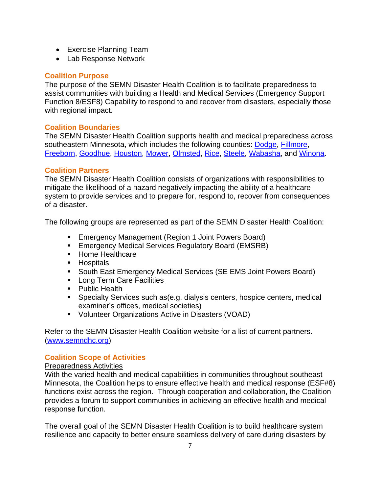- Exercise Planning Team
- Lab Response Network

# **Coalition Purpose**

The purpose of the SEMN Disaster Health Coalition is to facilitate preparedness to assist communities with building a Health and Medical Services (Emergency Support Function 8/ESF8) Capability to respond to and recover from disasters, especially those with regional impact.

# **Coalition Boundaries**

The SEMN Disaster Health Coalition supports health and medical preparedness across southeastern Minnesota, which includes the following counties: Dodge, Fillmore, Freeborn, Goodhue, Houston, Mower, Olmsted, Rice, Steele, Wabasha, and Winona.

# **Coalition Partners**

The SEMN Disaster Health Coalition consists of organizations with responsibilities to mitigate the likelihood of a hazard negatively impacting the ability of a healthcare system to provide services and to prepare for, respond to, recover from consequences of a disaster.

The following groups are represented as part of the SEMN Disaster Health Coalition:

- **Emergency Management (Region 1 Joint Powers Board)**
- **Emergency Medical Services Regulatory Board (EMSRB)**
- **Home Healthcare**
- **Hospitals**
- **South East Emergency Medical Services (SE EMS Joint Powers Board)**
- **Long Term Care Facilities**
- Public Health
- Specialty Services such as(e.g. dialysis centers, hospice centers, medical examiner's offices, medical societies)
- Volunteer Organizations Active in Disasters (VOAD)

Refer to the SEMN Disaster Health Coalition website for a list of current partners. (www.semndhc.org)

# **Coalition Scope of Activities**

#### Preparedness Activities

With the varied health and medical capabilities in communities throughout southeast Minnesota, the Coalition helps to ensure effective health and medical response (ESF#8) functions exist across the region. Through cooperation and collaboration, the Coalition provides a forum to support communities in achieving an effective health and medical response function.

The overall goal of the SEMN Disaster Health Coalition is to build healthcare system resilience and capacity to better ensure seamless delivery of care during disasters by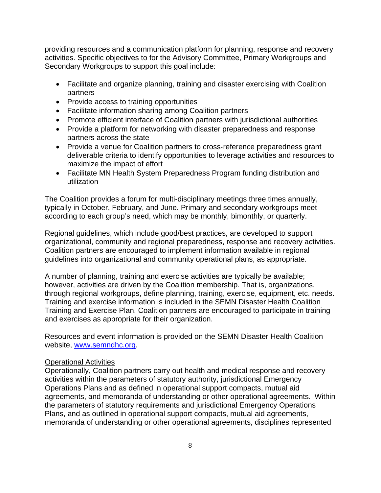providing resources and a communication platform for planning, response and recovery activities. Specific objectives to for the Advisory Committee, Primary Workgroups and Secondary Workgroups to support this goal include:

- Facilitate and organize planning, training and disaster exercising with Coalition partners
- Provide access to training opportunities
- Facilitate information sharing among Coalition partners
- Promote efficient interface of Coalition partners with jurisdictional authorities
- Provide a platform for networking with disaster preparedness and response partners across the state
- Provide a venue for Coalition partners to cross-reference preparedness grant deliverable criteria to identify opportunities to leverage activities and resources to maximize the impact of effort
- Facilitate MN Health System Preparedness Program funding distribution and utilization

The Coalition provides a forum for multi‐disciplinary meetings three times annually, typically in October, February, and June. Primary and secondary workgroups meet according to each group's need, which may be monthly, bimonthly, or quarterly.

Regional guidelines, which include good/best practices, are developed to support organizational, community and regional preparedness, response and recovery activities. Coalition partners are encouraged to implement information available in regional guidelines into organizational and community operational plans, as appropriate.

A number of planning, training and exercise activities are typically be available; however, activities are driven by the Coalition membership. That is, organizations, through regional workgroups, define planning, training, exercise, equipment, etc. needs. Training and exercise information is included in the SEMN Disaster Health Coalition Training and Exercise Plan. Coalition partners are encouraged to participate in training and exercises as appropriate for their organization.

Resources and event information is provided on the SEMN Disaster Health Coalition website, www.semndhc.org.

#### Operational Activities

Operationally, Coalition partners carry out health and medical response and recovery activities within the parameters of statutory authority, jurisdictional Emergency Operations Plans and as defined in operational support compacts, mutual aid agreements, and memoranda of understanding or other operational agreements. Within the parameters of statutory requirements and jurisdictional Emergency Operations Plans, and as outlined in operational support compacts, mutual aid agreements, memoranda of understanding or other operational agreements, disciplines represented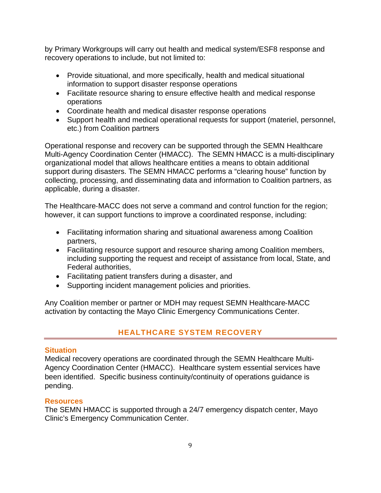by Primary Workgroups will carry out health and medical system/ESF8 response and recovery operations to include, but not limited to:

- Provide situational, and more specifically, health and medical situational information to support disaster response operations
- Facilitate resource sharing to ensure effective health and medical response operations
- Coordinate health and medical disaster response operations
- Support health and medical operational requests for support (materiel, personnel, etc.) from Coalition partners

Operational response and recovery can be supported through the SEMN Healthcare Multi-Agency Coordination Center (HMACC). The SEMN HMACC is a multi-disciplinary organizational model that allows healthcare entities a means to obtain additional support during disasters. The SEMN HMACC performs a "clearing house" function by collecting, processing, and disseminating data and information to Coalition partners, as applicable, during a disaster.

The Healthcare‐MACC does not serve a command and control function for the region; however, it can support functions to improve a coordinated response, including:

- Facilitating information sharing and situational awareness among Coalition partners,
- Facilitating resource support and resource sharing among Coalition members, including supporting the request and receipt of assistance from local, State, and Federal authorities,
- Facilitating patient transfers during a disaster, and
- Supporting incident management policies and priorities.

Any Coalition member or partner or MDH may request SEMN Healthcare‐MACC activation by contacting the Mayo Clinic Emergency Communications Center.

# **HEALTHCARE SYSTEM RECOVERY**

# **Situation**

Medical recovery operations are coordinated through the SEMN Healthcare Multi-Agency Coordination Center (HMACC). Healthcare system essential services have been identified. Specific business continuity/continuity of operations guidance is pending.

#### **Resources**

The SEMN HMACC is supported through a 24/7 emergency dispatch center, Mayo Clinic's Emergency Communication Center.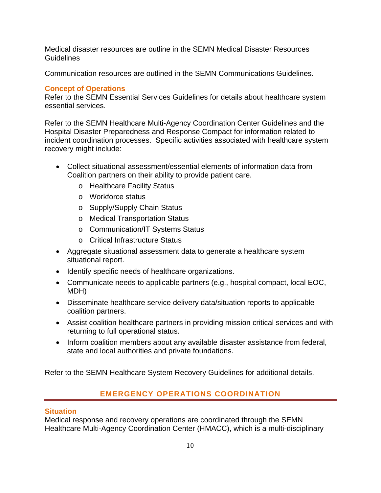Medical disaster resources are outline in the SEMN Medical Disaster Resources Guidelines

Communication resources are outlined in the SEMN Communications Guidelines.

# **Concept of Operations**

Refer to the SEMN Essential Services Guidelines for details about healthcare system essential services.

Refer to the SEMN Healthcare Multi-Agency Coordination Center Guidelines and the Hospital Disaster Preparedness and Response Compact for information related to incident coordination processes. Specific activities associated with healthcare system recovery might include:

- Collect situational assessment/essential elements of information data from Coalition partners on their ability to provide patient care.
	- o Healthcare Facility Status
	- o Workforce status
	- o Supply/Supply Chain Status
	- o Medical Transportation Status
	- o Communication/IT Systems Status
	- o Critical Infrastructure Status
- Aggregate situational assessment data to generate a healthcare system situational report.
- Identify specific needs of healthcare organizations.
- Communicate needs to applicable partners (e.g., hospital compact, local EOC, MDH)
- Disseminate healthcare service delivery data/situation reports to applicable coalition partners.
- Assist coalition healthcare partners in providing mission critical services and with returning to full operational status.
- Inform coalition members about any available disaster assistance from federal, state and local authorities and private foundations.

Refer to the SEMN Healthcare System Recovery Guidelines for additional details.

# **EMERGENCY OPERATIONS COORDINATION**

#### **Situation**

Medical response and recovery operations are coordinated through the SEMN Healthcare Multi-Agency Coordination Center (HMACC), which is a multi-disciplinary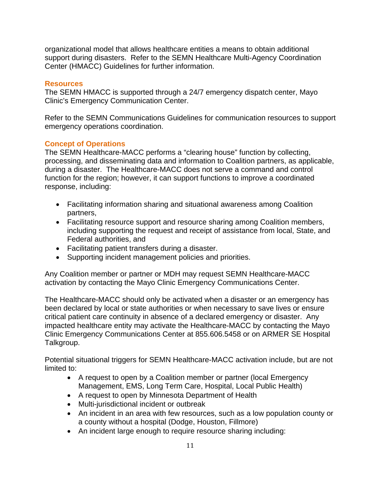organizational model that allows healthcare entities a means to obtain additional support during disasters. Refer to the SEMN Healthcare Multi-Agency Coordination Center (HMACC) Guidelines for further information.

#### **Resources**

The SEMN HMACC is supported through a 24/7 emergency dispatch center, Mayo Clinic's Emergency Communication Center.

Refer to the SEMN Communications Guidelines for communication resources to support emergency operations coordination.

#### **Concept of Operations**

The SEMN Healthcare-MACC performs a "clearing house" function by collecting, processing, and disseminating data and information to Coalition partners, as applicable, during a disaster. The Healthcare-MACC does not serve a command and control function for the region; however, it can support functions to improve a coordinated response, including:

- Facilitating information sharing and situational awareness among Coalition partners,
- Facilitating resource support and resource sharing among Coalition members, including supporting the request and receipt of assistance from local, State, and Federal authorities, and
- Facilitating patient transfers during a disaster.
- Supporting incident management policies and priorities.

Any Coalition member or partner or MDH may request SEMN Healthcare-MACC activation by contacting the Mayo Clinic Emergency Communications Center.

The Healthcare-MACC should only be activated when a disaster or an emergency has been declared by local or state authorities or when necessary to save lives or ensure critical patient care continuity in absence of a declared emergency or disaster. Any impacted healthcare entity may activate the Healthcare-MACC by contacting the Mayo Clinic Emergency Communications Center at 855.606.5458 or on ARMER SE Hospital Talkgroup.

Potential situational triggers for SEMN Healthcare-MACC activation include, but are not limited to:

- A request to open by a Coalition member or partner (local Emergency Management, EMS, Long Term Care, Hospital, Local Public Health)
- A request to open by Minnesota Department of Health
- Multi-jurisdictional incident or outbreak
- An incident in an area with few resources, such as a low population county or a county without a hospital (Dodge, Houston, Fillmore)
- An incident large enough to require resource sharing including: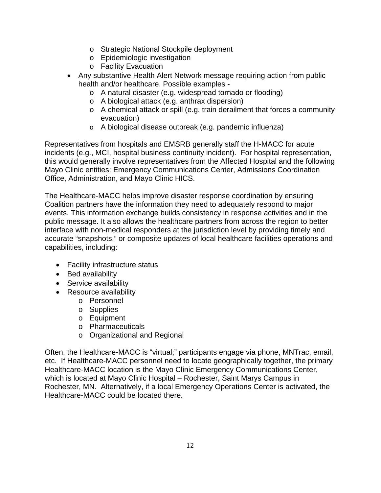- o Strategic National Stockpile deployment
- o Epidemiologic investigation
- o Facility Evacuation
- Any substantive Health Alert Network message requiring action from public health and/or healthcare. Possible examples
	- o A natural disaster (e.g. widespread tornado or flooding)
	- o A biological attack (e.g. anthrax dispersion)
	- o A chemical attack or spill (e.g. train derailment that forces a community evacuation)
	- o A biological disease outbreak (e.g. pandemic influenza)

Representatives from hospitals and EMSRB generally staff the H-MACC for acute incidents (e.g., MCI, hospital business continuity incident). For hospital representation, this would generally involve representatives from the Affected Hospital and the following Mayo Clinic entities: Emergency Communications Center, Admissions Coordination Office, Administration, and Mayo Clinic HICS.

The Healthcare-MACC helps improve disaster response coordination by ensuring Coalition partners have the information they need to adequately respond to major events. This information exchange builds consistency in response activities and in the public message. It also allows the healthcare partners from across the region to better interface with non-medical responders at the jurisdiction level by providing timely and accurate "snapshots," or composite updates of local healthcare facilities operations and capabilities, including:

- Facility infrastructure status
- Bed availability
- Service availability
- Resource availability
	- o Personnel
	- o Supplies
	- o Equipment
	- o Pharmaceuticals
	- o Organizational and Regional

Often, the Healthcare-MACC is "virtual;" participants engage via phone, MNTrac, email, etc. If Healthcare-MACC personnel need to locate geographically together, the primary Healthcare-MACC location is the Mayo Clinic Emergency Communications Center, which is located at Mayo Clinic Hospital – Rochester, Saint Marys Campus in Rochester, MN. Alternatively, if a local Emergency Operations Center is activated, the Healthcare-MACC could be located there.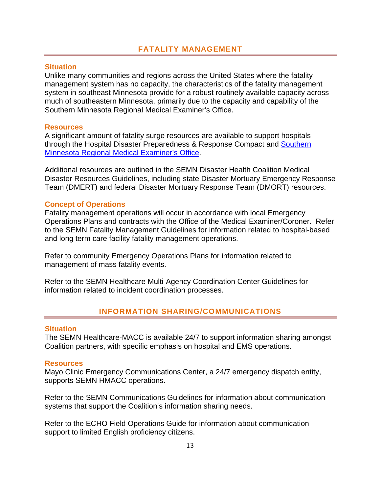#### **Situation**

Unlike many communities and regions across the United States where the fatality management system has no capacity, the characteristics of the fatality management system in southeast Minnesota provide for a robust routinely available capacity across much of southeastern Minnesota, primarily due to the capacity and capability of the Southern Minnesota Regional Medical Examiner's Office.

#### **Resources**

A significant amount of fatality surge resources are available to support hospitals through the Hospital Disaster Preparedness & Response Compact and Southern Minnesota Regional Medical Examiner's Office.

Additional resources are outlined in the SEMN Disaster Health Coalition Medical Disaster Resources Guidelines, including state Disaster Mortuary Emergency Response Team (DMERT) and federal Disaster Mortuary Response Team (DMORT) resources.

#### **Concept of Operations**

Fatality management operations will occur in accordance with local Emergency Operations Plans and contracts with the Office of the Medical Examiner/Coroner. Refer to the SEMN Fatality Management Guidelines for information related to hospital-based and long term care facility fatality management operations.

Refer to community Emergency Operations Plans for information related to management of mass fatality events.

Refer to the SEMN Healthcare Multi-Agency Coordination Center Guidelines for information related to incident coordination processes.

# **INFORMATION SHARING/COMMUNICATIONS**

#### **Situation**

The SEMN Healthcare-MACC is available 24/7 to support information sharing amongst Coalition partners, with specific emphasis on hospital and EMS operations.

#### **Resources**

Mayo Clinic Emergency Communications Center, a 24/7 emergency dispatch entity, supports SEMN HMACC operations.

Refer to the SEMN Communications Guidelines for information about communication systems that support the Coalition's information sharing needs.

Refer to the ECHO Field Operations Guide for information about communication support to limited English proficiency citizens.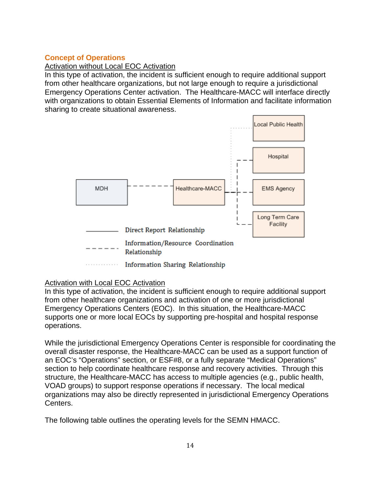#### **Concept of Operations**

#### Activation without Local EOC Activation

In this type of activation, the incident is sufficient enough to require additional support from other healthcare organizations, but not large enough to require a jurisdictional Emergency Operations Center activation. The Healthcare-MACC will interface directly with organizations to obtain Essential Elements of Information and facilitate information sharing to create situational awareness.



#### Activation with Local EOC Activation

In this type of activation, the incident is sufficient enough to require additional support from other healthcare organizations and activation of one or more jurisdictional Emergency Operations Centers (EOC). In this situation, the Healthcare-MACC supports one or more local EOCs by supporting pre-hospital and hospital response operations.

While the jurisdictional Emergency Operations Center is responsible for coordinating the overall disaster response, the Healthcare-MACC can be used as a support function of an EOC's "Operations" section, or ESF#8, or a fully separate "Medical Operations" section to help coordinate healthcare response and recovery activities. Through this structure, the Healthcare-MACC has access to multiple agencies (e.g., public health, VOAD groups) to support response operations if necessary. The local medical organizations may also be directly represented in jurisdictional Emergency Operations Centers.

The following table outlines the operating levels for the SEMN HMACC.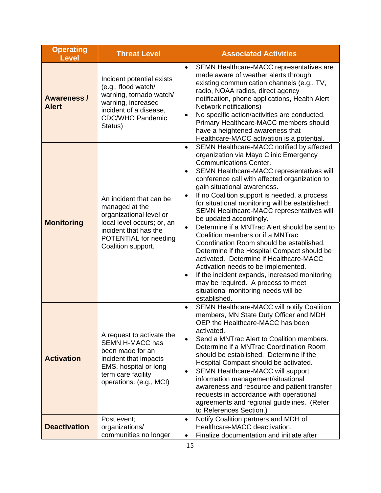| <b>Operating</b><br><b>Level</b>   | <b>Threat Level</b>                                                                                                                                                        | <b>Associated Activities</b>                                                                                                                                                                                                                                                                                                                                                                                                                                                                                                                                                                                                                                                                                                                                                                                                                                                                      |
|------------------------------------|----------------------------------------------------------------------------------------------------------------------------------------------------------------------------|---------------------------------------------------------------------------------------------------------------------------------------------------------------------------------------------------------------------------------------------------------------------------------------------------------------------------------------------------------------------------------------------------------------------------------------------------------------------------------------------------------------------------------------------------------------------------------------------------------------------------------------------------------------------------------------------------------------------------------------------------------------------------------------------------------------------------------------------------------------------------------------------------|
| <b>Awareness /</b><br><b>Alert</b> | Incident potential exists<br>(e.g., flood watch/<br>warning, tornado watch/<br>warning, increased<br>incident of a disease,<br><b>CDC/WHO Pandemic</b><br>Status)          | SEMN Healthcare-MACC representatives are<br>$\bullet$<br>made aware of weather alerts through<br>existing communication channels (e.g., TV,<br>radio, NOAA radios, direct agency<br>notification, phone applications, Health Alert<br>Network notifications)<br>No specific action/activities are conducted.<br>$\bullet$<br>Primary Healthcare-MACC members should<br>have a heightened awareness that<br>Healthcare-MACC activation is a potential.                                                                                                                                                                                                                                                                                                                                                                                                                                             |
| <b>Monitoring</b>                  | An incident that can be<br>managed at the<br>organizational level or<br>local level occurs; or, an<br>incident that has the<br>POTENTIAL for needing<br>Coalition support. | SEMN Healthcare-MACC notified by affected<br>$\bullet$<br>organization via Mayo Clinic Emergency<br><b>Communications Center.</b><br>SEMN Healthcare-MACC representatives will<br>conference call with affected organization to<br>gain situational awareness.<br>If no Coalition support is needed, a process<br>$\bullet$<br>for situational monitoring will be established;<br>SEMN Healthcare-MACC representatives will<br>be updated accordingly.<br>Determine if a MNTrac Alert should be sent to<br>$\bullet$<br>Coalition members or if a MNTrac<br>Coordination Room should be established.<br>Determine if the Hospital Compact should be<br>activated. Determine if Healthcare-MACC<br>Activation needs to be implemented.<br>If the incident expands, increased monitoring<br>$\bullet$<br>may be required. A process to meet<br>situational monitoring needs will be<br>established. |
| <b>Activation</b>                  | A request to activate the<br><b>SEMN H-MACC has</b><br>been made for an<br>incident that impacts<br>EMS, hospital or long<br>term care facility<br>operations. (e.g., MCI) | SEMN Healthcare-MACC will notify Coalition<br>$\bullet$<br>members, MN State Duty Officer and MDH<br>OEP the Healthcare-MACC has been<br>activated.<br>Send a MNTrac Alert to Coalition members.<br>$\bullet$<br>Determine if a MNTrac Coordination Room<br>should be established. Determine if the<br>Hospital Compact should be activated.<br>SEMN Healthcare-MACC will support<br>$\bullet$<br>information management/situational<br>awareness and resource and patient transfer<br>requests in accordance with operational<br>agreements and regional guidelines. (Refer<br>to References Section.)                                                                                                                                                                                                                                                                                           |
| <b>Deactivation</b>                | Post event;<br>organizations/<br>communities no longer                                                                                                                     | Notify Coalition partners and MDH of<br>$\bullet$<br>Healthcare-MACC deactivation.<br>Finalize documentation and initiate after<br>$\bullet$                                                                                                                                                                                                                                                                                                                                                                                                                                                                                                                                                                                                                                                                                                                                                      |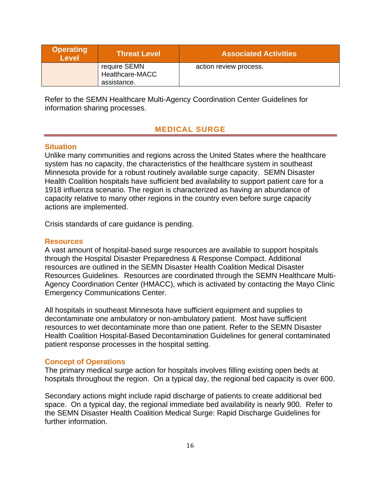| <b>Operating</b><br>Level | <b>Threat Level</b>             | <b>Associated Activities</b> |
|---------------------------|---------------------------------|------------------------------|
|                           | require SEMN<br>Healthcare-MACC | action review process.       |
|                           | assistance.                     |                              |

Refer to the SEMN Healthcare Multi-Agency Coordination Center Guidelines for information sharing processes.

# **MEDICAL SURGE**

#### **Situation**

Unlike many communities and regions across the United States where the healthcare system has no capacity, the characteristics of the healthcare system in southeast Minnesota provide for a robust routinely available surge capacity. SEMN Disaster Health Coalition hospitals have sufficient bed availability to support patient care for a 1918 influenza scenario. The region is characterized as having an abundance of capacity relative to many other regions in the country even before surge capacity actions are implemented.

Crisis standards of care guidance is pending.

#### **Resources**

A vast amount of hospital-based surge resources are available to support hospitals through the Hospital Disaster Preparedness & Response Compact. Additional resources are outlined in the SEMN Disaster Health Coalition Medical Disaster Resources Guidelines. Resources are coordinated through the SEMN Healthcare Multi-Agency Coordination Center (HMACC), which is activated by contacting the Mayo Clinic Emergency Communications Center.

All hospitals in southeast Minnesota have sufficient equipment and supplies to decontaminate one ambulatory or non-ambulatory patient. Most have sufficient resources to wet decontaminate more than one patient. Refer to the SEMN Disaster Health Coalition Hospital-Based Decontamination Guidelines for general contaminated patient response processes in the hospital setting.

#### **Concept of Operations**

The primary medical surge action for hospitals involves filling existing open beds at hospitals throughout the region. On a typical day, the regional bed capacity is over 600.

Secondary actions might include rapid discharge of patients to create additional bed space. On a typical day, the regional immediate bed availability is nearly 900. Refer to the SEMN Disaster Health Coalition Medical Surge: Rapid Discharge Guidelines for further information.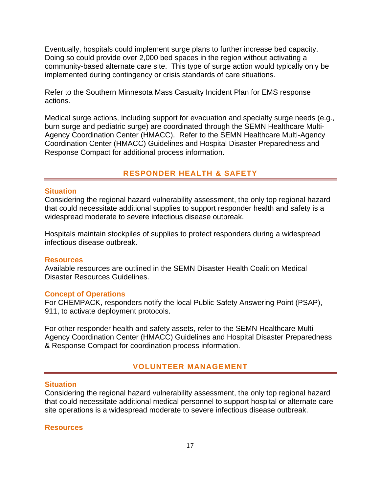Eventually, hospitals could implement surge plans to further increase bed capacity. Doing so could provide over 2,000 bed spaces in the region without activating a community-based alternate care site. This type of surge action would typically only be implemented during contingency or crisis standards of care situations.

Refer to the Southern Minnesota Mass Casualty Incident Plan for EMS response actions.

Medical surge actions, including support for evacuation and specialty surge needs (e.g., burn surge and pediatric surge) are coordinated through the SEMN Healthcare Multi-Agency Coordination Center (HMACC). Refer to the SEMN Healthcare Multi-Agency Coordination Center (HMACC) Guidelines and Hospital Disaster Preparedness and Response Compact for additional process information.

#### **RESPONDER HEALTH & SAFETY**

#### **Situation**

Considering the regional hazard vulnerability assessment, the only top regional hazard that could necessitate additional supplies to support responder health and safety is a widespread moderate to severe infectious disease outbreak.

Hospitals maintain stockpiles of supplies to protect responders during a widespread infectious disease outbreak.

#### **Resources**

Available resources are outlined in the SEMN Disaster Health Coalition Medical Disaster Resources Guidelines.

#### **Concept of Operations**

For CHEMPACK, responders notify the local Public Safety Answering Point (PSAP), 911, to activate deployment protocols.

For other responder health and safety assets, refer to the SEMN Healthcare Multi-Agency Coordination Center (HMACC) Guidelines and Hospital Disaster Preparedness & Response Compact for coordination process information.

#### **VOLUNTEER MANAGEMENT**

#### **Situation**

Considering the regional hazard vulnerability assessment, the only top regional hazard that could necessitate additional medical personnel to support hospital or alternate care site operations is a widespread moderate to severe infectious disease outbreak.

#### **Resources**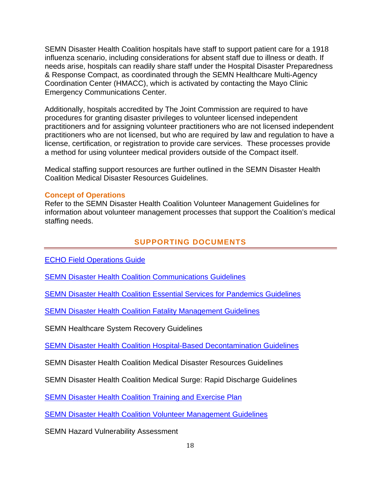SEMN Disaster Health Coalition hospitals have staff to support patient care for a 1918 influenza scenario, including considerations for absent staff due to illness or death. If needs arise, hospitals can readily share staff under the Hospital Disaster Preparedness & Response Compact, as coordinated through the SEMN Healthcare Multi-Agency Coordination Center (HMACC), which is activated by contacting the Mayo Clinic Emergency Communications Center.

Additionally, hospitals accredited by The Joint Commission are required to have procedures for granting disaster privileges to volunteer licensed independent practitioners and for assigning volunteer practitioners who are not licensed independent practitioners who are not licensed, but who are required by law and regulation to have a license, certification, or registration to provide care services. These processes provide a method for using volunteer medical providers outside of the Compact itself.

Medical staffing support resources are further outlined in the SEMN Disaster Health Coalition Medical Disaster Resources Guidelines.

#### **Concept of Operations**

Refer to the SEMN Disaster Health Coalition Volunteer Management Guidelines for information about volunteer management processes that support the Coalition's medical staffing needs.

#### **SUPPORTING DOCUMENTS**

ECHO Field Operations Guide

**SEMN Disaster Health Coalition Communications Guidelines** 

SEMN Disaster Health Coalition Essential Services for Pandemics Guidelines

SEMN Disaster Health Coalition Fatality Management Guidelines

SEMN Healthcare System Recovery Guidelines

SEMN Disaster Health Coalition Hospital-Based Decontamination Guidelines

SEMN Disaster Health Coalition Medical Disaster Resources Guidelines

SEMN Disaster Health Coalition Medical Surge: Rapid Discharge Guidelines

**SEMN Disaster Health Coalition Training and Exercise Plan** 

SEMN Disaster Health Coalition Volunteer Management Guidelines

SEMN Hazard Vulnerability Assessment